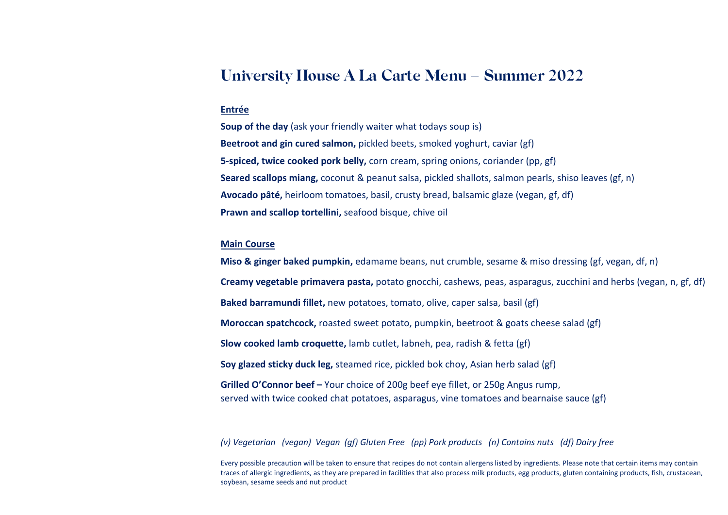# **University House A La Carte Menu – Summer 2022**

#### **Entrée**

**Soup of the day** (ask your friendly waiter what todays soup is) **Beetroot and gin cured salmon,** pickled beets, smoked yoghurt, caviar (gf) **5-spiced, twice cooked pork belly,** corn cream, spring onions, coriander (pp, gf) **Seared scallops miang,** coconut & peanut salsa, pickled shallots, salmon pearls, shiso leaves (gf, n) **Avocado pâté,** heirloom tomatoes, basil, crusty bread, balsamic glaze (vegan, gf, df) **Prawn and scallop tortellini,** seafood bisque, chive oil

## **Main Course**

**Miso & ginger baked pumpkin,** edamame beans, nut crumble, sesame & miso dressing (gf, vegan, df, n) **Creamy vegetable primavera pasta,** potato gnocchi, cashews, peas, asparagus, zucchini and herbs (vegan, n, gf, df) **Baked barramundi fillet,** new potatoes, tomato, olive, caper salsa, basil (gf) **Moroccan spatchcock,** roasted sweet potato, pumpkin, beetroot & goats cheese salad (gf) **Slow cooked lamb croquette,** lamb cutlet, labneh, pea, radish & fetta (gf) **Soy glazed sticky duck leg,** steamed rice, pickled bok choy, Asian herb salad (gf) **Grilled O'Connor beef –** Your choice of 200g beef eye fillet, or 250g Angus rump, served with twice cooked chat potatoes, asparagus, vine tomatoes and bearnaise sauce (gf)

*(v) Vegetarian (vegan) Vegan (gf) Gluten Free (pp) Pork products (n) Contains nuts (df) Dairy free*

Every possible precaution will be taken to ensure that recipes do not contain allergens listed by ingredients. Please note that certain items may contain traces of allergic ingredients, as they are prepared in facilities that also process milk products, egg products, gluten containing products, fish, crustacean, soybean, sesame seeds and nut product